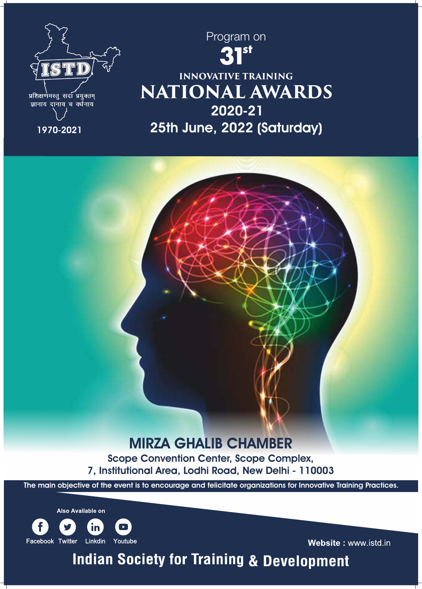



# **NATIONAL AWARDS INNOVATIVE TRAINING**  25th June, 2022 (Saturday) 2020-21



# MIRZA GHALIB CHAMBER

Scope Convention Center, Scope Complex, 7, Institutional Area, Lodhi Road, New Delhi - 110003

The main objective of the event is to encourage and felicitate organizations for Innovative Training Practices.

**Also Available on** 



Website: www.istd.in

**Indian Society for Training & Development**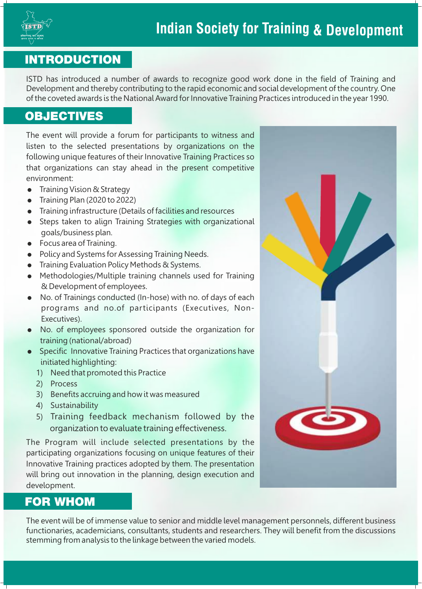

#### **INTRODUCTION**

ISTD has introduced a number of awards to recognize good work done in the field of Training and Development and thereby contributing to the rapid economic and social development of the country. One of the coveted awards is the National Award for Innovative Training Practices introduced in the year 1990.

### **OBJECTIVES**

The event will provide a forum for participants to witness and listen to the selected presentations by organizations on the following unique features of their Innovative Training Practices so that organizations can stay ahead in the present competitive environment:

- Training Vision & Strategy
- $\bullet$  Training Plan (2020 to 2022)
- = Training infrastructure (Details of facilities and resources
- Steps taken to align Training Strategies with organizational goals/business plan.
- $\bullet$  Focus area of Training.
- Policy and Systems for Assessing Training Needs.
- Training Evaluation Policy Methods & Systems.
- Methodologies/Multiple training channels used for Training & Development of employees.
- No. of Trainings conducted (In-hose) with no. of days of each programs and no.of participants (Executives, Non-Executives).
- No. of employees sponsored outside the organization for training (national/abroad)
- Specific Innovative Training Practices that organizations have initiated highlighting:
	- 1) Need that promoted this Practice
	- 2) Process
	- 3) Benefits accruing and how it was measured
	- 4) Sustainability
	- 5) Training feedback mechanism followed by the organization to evaluate training effectiveness.

The Program will include selected presentations by the participating organizations focusing on unique features of their Innovative Training practices adopted by them. The presentation will bring out innovation in the planning, design execution and development.

#### **FOR WHOM**

The event will be of immense value to senior and middle level management personnels, different business functionaries, academicians, consultants, students and researchers. They will benefit from the discussions stemming from analysis to the linkage between the varied models.

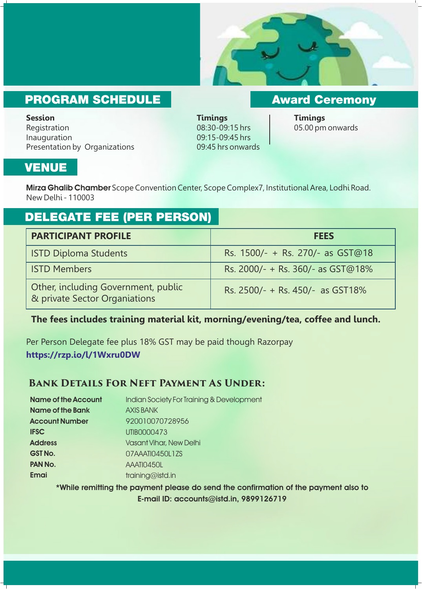

## **PROGRAM SCHEDULE**

**Session Timings Timings**  Registration 08:30-09:15 hrs 05.00 pm onwards Inauguration 09:15-09:45 hrs Presentation by Organizations 09:45 hrs onwards

**Award Ceremony** 

## **VENUE**

Mirza Ghalib Chamber Scope Convention Center, Scope Complex7, Institutional Area, Lodhi Road. New Delhi - 110003

## **DELEGATE FEE (PER PERSON)**

| <b>PARTICIPANT PROFILE</b>                                           | <b>FEES</b>                         |
|----------------------------------------------------------------------|-------------------------------------|
| <b>ISTD Diploma Students</b>                                         | Rs. 1500/- + Rs. 270/- as GST@18    |
| <b>ISTD Members</b>                                                  | Rs. 2000/- + Rs. 360/- as $GST@18%$ |
| Other, including Government, public<br>& private Sector Organiations | Rs. 2500/- + Rs. 450/- as GST18%    |

#### **The fees includes training material kit, morning/evening/tea, coffee and lunch.**

Per Person Delegate fee plus 18% GST may be paid though Razorpay **https://rzp.io/l/1Wxru0DW** 

#### **Bank Details For Neft Payment As Under:**

| Indian Society For Training & Development |
|-------------------------------------------|
| <b>AXIS BANK</b>                          |
| 920010070728956                           |
| UTIB0000473                               |
| <b>Vasant Vihar, New Delhi</b>            |
| 07AAATI0450L1ZS                           |
| AAATI0450L                                |
| training@istd.in                          |
|                                           |

\*While remitting the payment please do send the confirmation of the payment also to E-mail ID: accounts@istd.in, 9899126719